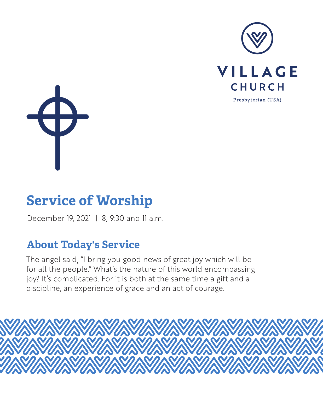



# **Service of Worship**

December 19, 2021 | 8, 9:30 and 11 a.m.

## **About Today's Service**

The angel said¸ "I bring you good news of great joy which will be for all the people." What's the nature of this world encompassing joy? It's complicated. For it is both at the same time a gift and a discipline, an experience of grace and an act of courage.

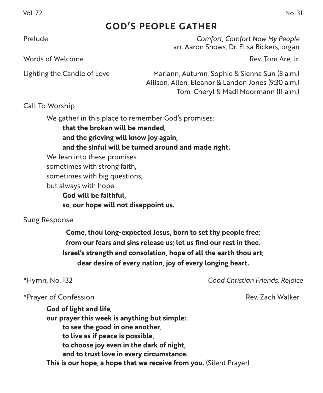## **GOD'S PEOPLE GATHER**

Words of Welcome Rev. Tom Are, Jr.

Prelude *Comfort, Comfort Now My People* arr. Aaron Shows; Dr. Elisa Bickers, organ

Lighting the Candle of Love Mariann, Autumn, Sophie & Sienna Sun (8 a.m.) Allison, Allen, Eleanor & Landon Jones (9:30 a.m.) Tom, Cheryl & Madi Moormann (11 a.m.)

Call To Worship

We gather in this place to remember God's promises:

**that the broken will be mended,**

**and the grieving will know joy again,**

**and the sinful will be turned around and made right.**

We lean into these promises,

sometimes with strong faith,

sometimes with big questions,

but always with hope.

**God will be faithful, so, our hope will not disappoint us.**

Sung Response

**Come, thou long-expected Jesus, born to set thy people free; from our fears and sins release us; let us find our rest in thee. Israel's strength and consolation, hope of all the earth thou art; dear desire of every nation, joy of every longing heart.**

\*Hymn, No. 132 *Good Christian Friends, Rejoice*

\*Prayer of Confession **Rev. Zach Walker** \* **Prayer** of Confession

**God of light and life, our prayer this week is anything but simple: to see the good in one another, to live as if peace is possible, to choose joy even in the dark of night, and to trust love in every circumstance. This is our hope, a hope that we receive from you.** (Silent Prayer)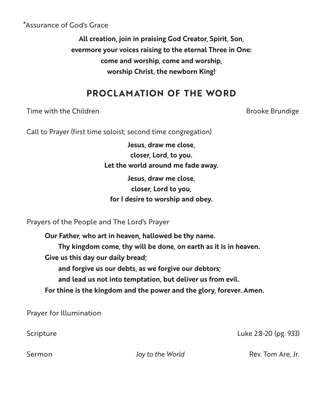\*Assurance of God's Grace

**All creation, join in praising God Creator, Spirit, Son, evermore your voices raising to the eternal Three in One: come and worship, come and worship, worship Christ, the newborn King!**

## **PROCLAMATION OF THE WORD**

Time with the Children Brooke Brundige Children Brooke Brundige

Call to Prayer (first time soloist; second time congregation)

**Jesus, draw me close, closer, Lord, to you. Let the world around me fade away.**

**Jesus, draw me close, closer, Lord to you, for I desire to worship and obey.**

Prayers of the People and The Lord's Prayer

**Our Father, who art in heaven, hallowed be thy name. Thy kingdom come, thy will be done, on earth as it is in heaven. Give us this day our daily bread; and forgive us our debts, as we forgive our debtors; and lead us not into temptation, but deliver us from evil. For thine is the kingdom and the power and the glory, forever. Amen.**

Prayer for Illumination

Scripture Luke 2:8-20 (pg. 933)

Sermon *Joy to the World* Rev. Tom Are, Jr.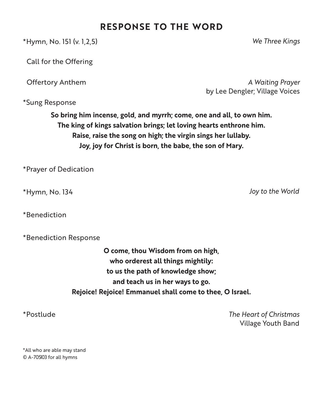## **RESPONSE TO THE WORD**

\*Hymn, No. 151 (v. 1,2,5) *We Three Kings*

Call for the Offering

Offertory Anthem *A Waiting Prayer*

\*Sung Response

**So bring him incense, gold, and myrrh; come, one and all, to own him. The king of kings salvation brings; let loving hearts enthrone him. Raise, raise the song on high; the virgin sings her lullaby. Joy, joy for Christ is born, the babe, the son of Mary.**

\*Prayer of Dedication

\*Hymn, No. 134 *Joy to the World*

\*Benediction

\*Benediction Response

**O come, thou Wisdom from on high, who orderest all things mightily: to us the path of knowledge show; and teach us in her ways to go. Rejoice! Rejoice! Emmanuel shall come to thee, O Israel.**

\*Postlude *The Heart of Christmas* Village Youth Band

by Lee Dengler; Village Voices

\*All who are able may stand © A-705103 for all hymns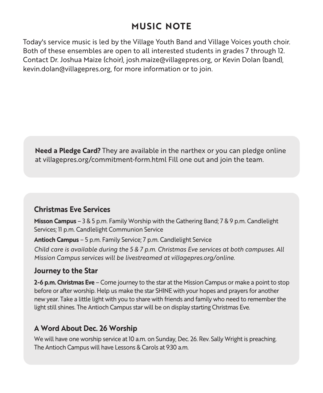## **MUSIC NOTE**

Today's service music is led by the Village Youth Band and Village Voices youth choir. Both of these ensembles are open to all interested students in grades 7 through 12. Contact Dr. Joshua Maize (choir), josh.maize@villagepres.org, or Kevin Dolan (band), kevin.dolan@villagepres.org, for more information or to join.

**Need a Pledge Card?** They are available in the narthex or you can pledge online at villagepres.org/commitment-form.html Fill one out and join the team.

#### **Christmas Eve Services**

**Misson Campus** – 3 & 5 p.m. Family Worship with the Gathering Band; 7 & 9 p.m. Candlelight Services; 11 p.m. Candlelight Communion Service

**Antioch Campus** – 5 p.m. Family Service; 7 p.m. Candlelight Service

*Child care is available during the 5 & 7 p.m. Christmas Eve services at both campuses. All Mission Campus services will be livestreamed at villagepres.org/online.*

#### **Journey to the Star**

**2-6 p.m. Christmas Eve** – Come journey to the star at the Mission Campus or make a point to stop before or after worship. Help us make the star SHINE with your hopes and prayers for another new year. Take a little light with you to share with friends and family who need to remember the light still shines. The Antioch Campus star will be on display starting Christmas Eve.

### **A Word About Dec. 26 Worship**

We will have one worship service at 10 a.m. on Sunday, Dec. 26. Rev. Sally Wright is preaching. The Antioch Campus will have Lessons & Carols at 9:30 a.m.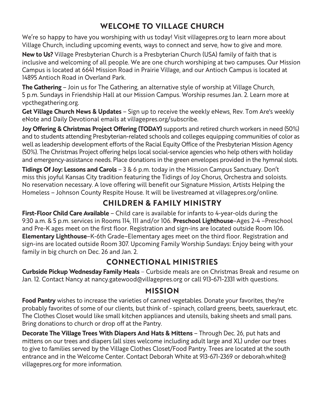## **WELCOME TO VILLAGE CHURCH**

We're so happy to have you worshiping with us today! Visit villagepres.org to learn more about Village Church, including upcoming events, ways to connect and serve, how to give and more.

**New to Us?** Village Presbyterian Church is a Presbyterian Church (USA) family of faith that is inclusive and welcoming of all people. We are one church worshiping at two campuses. Our Mission Campus is located at 6641 Mission Road in Prairie Village, and our Antioch Campus is located at 14895 Antioch Road in Overland Park.

**The Gathering** – Join us for The Gathering, an alternative style of worship at Village Church, 5 p.m. Sundays in Friendship Hall at our Mission Campus. Worship resumes Jan. 2. Learn more at vpcthegathering.org.

**Get Village Church News & Updates** – Sign up to receive the weekly eNews, Rev. Tom Are's weekly eNote and Daily Devotional emails at villagepres.org/subscribe.

**Joy Offering & Christmas Project Offering (TODAY)** supports and retired church workers in need (50%) and to students attending Presbyterian-related schools and colleges equipping communities of color as well as leadership development efforts of the Racial Equity Office of the Presbyterian Mission Agency (50%). The Christmas Project offering helps local social-service agencies who help others with holiday and emergency-assistance needs. Place donations in the green envelopes provided in the hymnal slots.

**Tidings Of Joy: Lessons and Carols** – 3 & 6 p.m. today in the Mission Campus Sanctuary. Don't miss this joyful Kansas City tradition featuring the Tidings of Joy Chorus, Orchestra and soloists. No reservation necessary. A love offering will benefit our Signature Mission, Artists Helping the Homeless – Johnson County Respite House. It will be livestreamed at villagepres.org/online.

## **CHILDREN & FAMILY MINISTRY**

**First-Floor Child Care Available** – Child care is available for infants to 4-year-olds during the 9:30 a.m. & 5 p.m. services in Rooms 114, 111 and/or 106. **Preschool Lighthouse**–Ages 2-4 –Preschool and Pre-K ages meet on the first floor. Registration and sign-ins are located outside Room 106. **Elementary Lighthouse**–K-6th Grade–Elementary ages meet on the third floor. Registration and sign-ins are located outside Room 307. Upcoming Family Worship Sundays: Enjoy being with your family in big church on Dec. 26 and Jan. 2.

## **CONNECTIONAL MINISTRIES**

**Curbside Pickup Wednesday Family Meals** – Curbside meals are on Christmas Break and resume on Jan. 12. Contact Nancy at nancy.gatewood@villagepres.org or call 913-671-2331 with questions.

### **MISSION**

**Food Pantry** wishes to increase the varieties of canned vegetables. Donate your favorites, they're probably favorites of some of our clients, but think of - spinach, collard greens, beets, sauerkraut, etc. The Clothes Closet would like small kitchen appliances and utensils, baking sheets and small pans. Bring donations to church or drop off at the Pantry.

**Decorate The Village Trees With Diapers And Hats & Mittens** – Through Dec. 26, put hats and mittens on our trees and diapers (all sizes welcome including adult large and XL) under our trees to give to families served by the Village Clothes Closet/Food Pantry. Trees are located at the south entrance and in the Welcome Center. Contact Deborah White at 913-671-2369 or deborah.white@ villagepres.org for more information.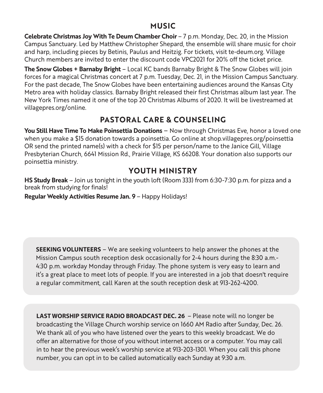### **MUSIC**

**Celebrate Christmas Joy With Te Deum Chamber Choir - 7 p.m. Monday, Dec. 20, in the Mission** Campus Sanctuary. Led by Matthew Christopher Shepard, the ensemble will share music for choir and harp, including pieces by Betinis, Paulus and Heitzig. For tickets, visit te-deum.org. Village Church members are invited to enter the discount code VPC2021 for 20% off the ticket price.

**The Snow Globes + Barnaby Bright** – Local KC bands Barnaby Bright & The Snow Globes will join forces for a magical Christmas concert at 7 p.m. Tuesday, Dec. 21, in the Mission Campus Sanctuary. For the past decade, The Snow Globes have been entertaining audiences around the Kansas City Metro area with holiday classics. Barnaby Bright released their first Christmas album last year. The New York Times named it one of the top 20 Christmas Albums of 2020. It will be livestreamed at villagepres.org/online.

## **PASTORAL CARE & COUNSELING**

**You Still Have Time To Make Poinsettia Donations** – Now through Christmas Eve, honor a loved one when you make a \$15 donation towards a poinsettia. Go online at shop.villagepres.org/poinsettia OR send the printed name(s) with a check for \$15 per person/name to the Janice Gill, Village Presbyterian Church, 6641 Mission Rd., Prairie Village, KS 66208. Your donation also supports our poinsettia ministry.

## **YOUTH MINISTRY**

**HS Study Break** – Join us tonight in the youth loft (Room 333) from 6:30-7:30 p.m. for pizza and a break from studying for finals!

**Regular Weekly Activities Resume Jan. 9 - Happy Holidays!** 

**SEEKING VOLUNTEERS** – We are seeking volunteers to help answer the phones at the Mission Campus south reception desk occasionally for 2-4 hours during the 8:30 a.m.- 4:30 p.m. workday Monday through Friday. The phone system is very easy to learn and it's a great place to meet lots of people. If you are interested in a job that doesn't require a regular commitment, call Karen at the south reception desk at 913-262-4200.

**LAST WORSHIP SERVICE RADIO BROADCAST DEC. 26** – Please note will no longer be broadcasting the Village Church worship service on 1660 AM Radio after Sunday, Dec. 26. We thank all of you who have listened over the years to this weekly broadcast. We do offer an alternative for those of you without internet access or a computer. You may call in to hear the previous week's worship service at 913-203-1301. When you call this phone number, you can opt in to be called automatically each Sunday at 9:30 a.m.